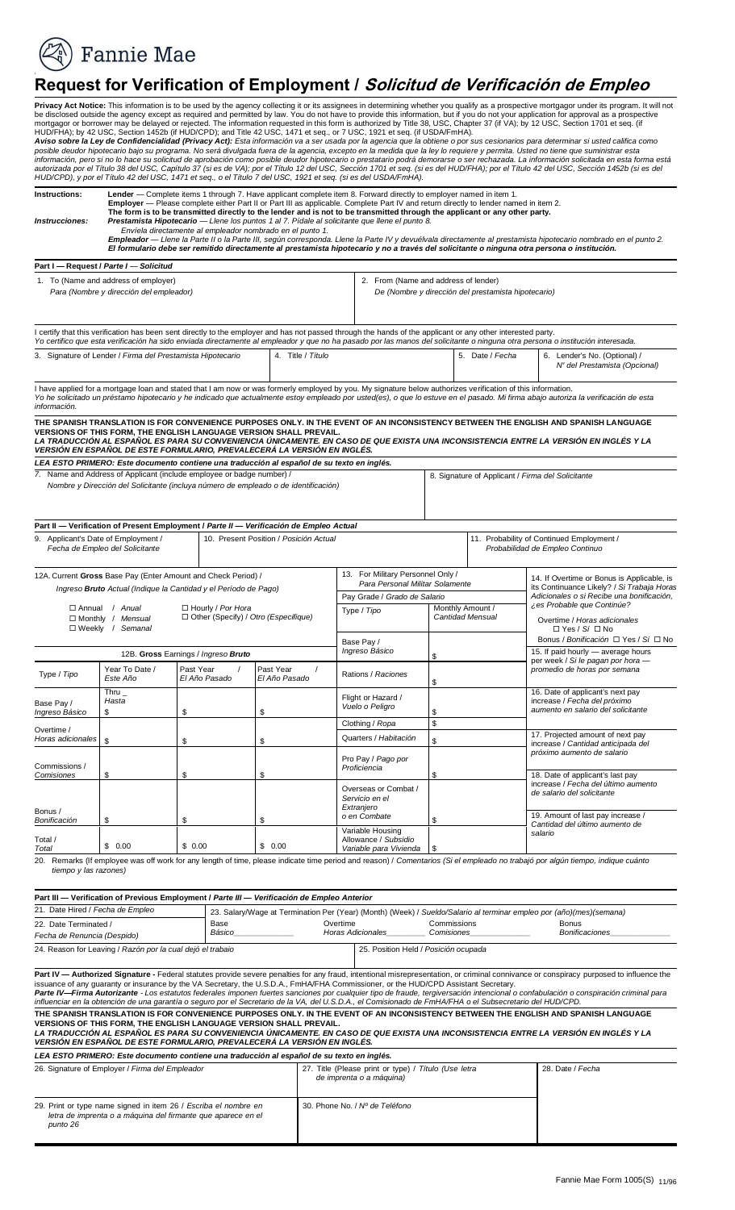**Fannie Mae** 

## **Request for Verification of Employment / Solicitud de Verificación de Empleo**

Privacy Act Notice: This information is to be used by the agency collecting it or its assignees in determining whether you qualify as a prospective mortgagor under its program. It will not<br>be disclosed outside the agency e or borrower may be delayed or rejected. The information requested in this form is authorized by Title 3 by A2 USC, Section 1452b (if HUD/CPD); and Title 42 USC, 1471 et seq., or 7 USC, 1921 et seq. (if  $\vec{B}$  and  $\vec{B}$  Instructions: Lender — Complete items 1 through 7. Have applicant complete item 8. Forward directly to employer named in item 1.<br>Employer — Please complete either Part II or Part III as applicable. Complete Part IV and ret is to be transmitted directly<br>
sta Hipotecario - Llene los **mpleador —** Llene la<br><sup>I</sup> formulario debe ser I certify that this verification has been sent directly to the employer and has not passed through the hands of the applicant or any other interested party. Yo certifico que esta verificación ha sido enviada directamente al empleador y que no ha pasado por las manos del solicitante o ninguna otra persona o institución interesada. 3. Signature of Lender / *Firma del Prestamista Hipotecario* 4. Title / *Título* 5. Date / *Fecha* 6. Lender's No. (Optional) / ISH TRANSLATION<br>
OF THIS FORM, TH<br>*CCIÓN AL ESPAÑO VERSIÓN EN ESPAÑOL DE ESTE FORMULARIO, PREVALECERÁ LA VERSIÓN EN INGLÉS. LEA ESTO PRIMERO: Este documento contiene una traducción al español de su texto en inglés. 7.* Name and Address of Applicant (include employee or badge number) /  *Nombre y Dirección del Solicitante (incluya número de empleado o de identificación)*  8. Signature of Applicant / *Firma del Solicitante*   **Part II — Verification of Present Employment /** *Parte II — Verificación de Empleo Actual*  9. Applicant's Date of Employment / *Fecha de Empleo del Solicitante*  12A. Current **Gross** Base Pay (Enter Amount and Check Period) /  *Ingreso Bruto Actual (Indique la Cantidad y el Período de Pago)*  Pay Grade / *Grado de Salario*  Hourly / *Por Hora*  Other (Specify) / *Otro (Especifique)*  Base Pay / 15. If paid hourly — average hours per week / *Si le pagan por hora — promedio de horas por semana*  Past Year / *El Año Pasado*  Base Pay / *Ingreso Básico*  Commissions / 18. Date of applicant's last pay Bonus /  $$0.00$  20. Remarks (If employee was off work for any length of time, please indicate time period and reason) / *Comentarios (Si el empleado no trabajó por algún tiempo, indique cuánto tiempo y las razones)*  **Part III — Verification of Previous Employment /** *Parte III — Verificación de Empleo Anterior Fecha de Renuncia (Despido)*  24. Reason for Leaving / *Razón por la cual dejó el trabaio* 25. Position Held / *Posición ocupada*  **- Authorized Signature - Federal of any guaranty or insurance by the** *- Firma Autorizante - Los estatution***<br>***Firma Autorizante - Los estatutions and autorizante - Los estatutions*  **THE SPANISH TRANSLATION IS FOR CONVENIENCE PURPOSES ONLY. IN THE EVENT OF AN INCONSISTENCY BETWEEN THE ENGLISH AND SPANISH LANGUAGE OF THIS F<br>CCIÓN AL<br>EN ESPAÑO**  *LEA ESTO PRIMERO: Este documento contiene una traducción al español de su texto en inglés.*  26. Signature of Employer / *Firma del Empleador* 27. Title (Please print or type) / *Título (Use letra*  29. Print or type name signed in item 26 / *Escriba el nombre en letra de imprenta o a máquina del firmante que aparece en el*  mortgagor or borrower may be delayed or rejected. The information requested in this form is authorized by Title 38, USC, Chapter 37 (if VA); by 12 USC, Section 1701 et seq. (if<br>HUD/FHA); by 12 USC, Section 1452b (if HUD/CP The form is to be transmitted directly to the lender and is not to be transmitted through the applicant or any other party.<br>Instrucciones: Prestamista Hipotecario — Llene los puntos 1 al 7. Pidale al solicitante que llene **Part I — Request /** *Parte I* — *Solicitud*  1. To (Name and address of employer) *Para (Nombre y dirección del empleador)*  2. From (Name and address of lender) *De (Nombre y dirección del prestamista hipotecario) N<sup>º</sup> del Prestamista (Opcional)*  I have applied for a mortgage loan and stated that I am now or was formerly employed by you. My signature below authorizes verification of this information.<br>Yo he solicitado un préstamo hipotecario y he indicado que actual *información.*  THE SPANISH TRANSLATION IS FOR CONVENIENCE PURPOSES ONLY. IN THE EVENT OF AN INCONSISTENCY BETWEEN THE ENGLISH AND SPANISH LANGUAGE<br>VERSIONS OF THIS FORM, THE ENGLISH LANGUAGE VERSION SHALL PREVAIL.<br>*LA TRADUCCIÓN AL ESPAÑ* 10. Present Position / *Posición Actual* 11. Probability of Continued Employment / *Probabilidad de Empleo Continuo*  Annual / *Anual*  Monthly / *Mensual*   $\square$  Weekly Weekly / *Semanal*  12B. **Gross** Earnings / *Ingreso Bruto*  Yes / *Sí* No *Bonus / Bonificación* □ Yes / *Sí* □ No Type / *Tipo* Year To Date / *Este Año*  Past Year / *El Año Pasado*  Thru \_ *Hasta*   $\sim$  \$ \$ Overtime / **Horas adicionales**  $Comisiones$  $B$ onificación Total / *Total* \$ 0.00 \$ 0.00 \$ 0.00 13. For Military Personnel Only / *Para Personal Militar Solamente*  Type / *Tipo* Monthly Amount / *Cantidad Mensual*  **Ingreso Básico** Rations / *Raciones*  \$ Flight or Hazard /<br>Vuelo o Peligro **\$** Clothing / *Ropa* \\$ Quarters / *Habitación* \$ Pro Pay / *Pago por Proficiencia*  \$ Overseas or Combat / *Servicio en el Extranjero*   $o$  en Combate Variable Housing Allowance / *Subsidio Variable para Vivienda* \$ 14. If Overtime or Bonus is Applicable, is its Continuance Likely? / *Si Trabaja Horas Adicionales o si Recibe una bonificación, ¿es Probable que Continúe?*  Overtime / *Horas adicionales*  16. Date of applicant's next pay increase / *Fecha del próximo aumento en salario del solicitante*  17. Projected amount of next pay increase / *Cantidad anticipada del próximo aumento de salario*  increase / *Fecha del último aumento de salario del solicitante*  19. Amount of last pay increase / *Cantidad del último aumento de salario*  21. Date Hired / *Fecha de Empleo*  22. Date Terminated / 23. Salary/Wage at Termination Per (Year) (Month) (Week) / *Sueldo/Salario al terminar empleo por (año)(mes)(semana)*  Base *Básico* **Overtime** *Horas Adicionales \_\_\_\_\_\_\_\_\_\_\_\_\_\_ \_\_\_\_\_\_\_\_\_ Comisiones\_\_\_\_\_\_\_\_\_\_\_\_\_\_ \_\_\_\_\_\_\_\_\_\_\_\_\_\_*  Commissions<br>Comisiones Bonus *Bonificaciones* **Part IV — Authorized Signature -** Federal statutes provide severe penalties for any fraud, intentional misrepresentation, or criminal connivance or conspiracy purposed to influence the<br>Issuance of any guaranty or insuranc VERSIONS OF THIS FORM, THE ENGLISH LANGUAGE VERSION SHALL PREVAIL.<br>LA TRADUCCIÓN AL ESPAÑOL ES PARA SU CONVENIENCIA ÚNICAMENTE. EN CASO DE QUE EXISTA UNA INCONSISTENCIA ENTRE LA VERSIÓN EN INGLÉS Y LA<br>VERSIÓN EN ESPAÑOL DE *de imprenta o a máquina)*  28. Date / *Fecha punto 26*  30. Phone No. / *Nº de Teléfono*